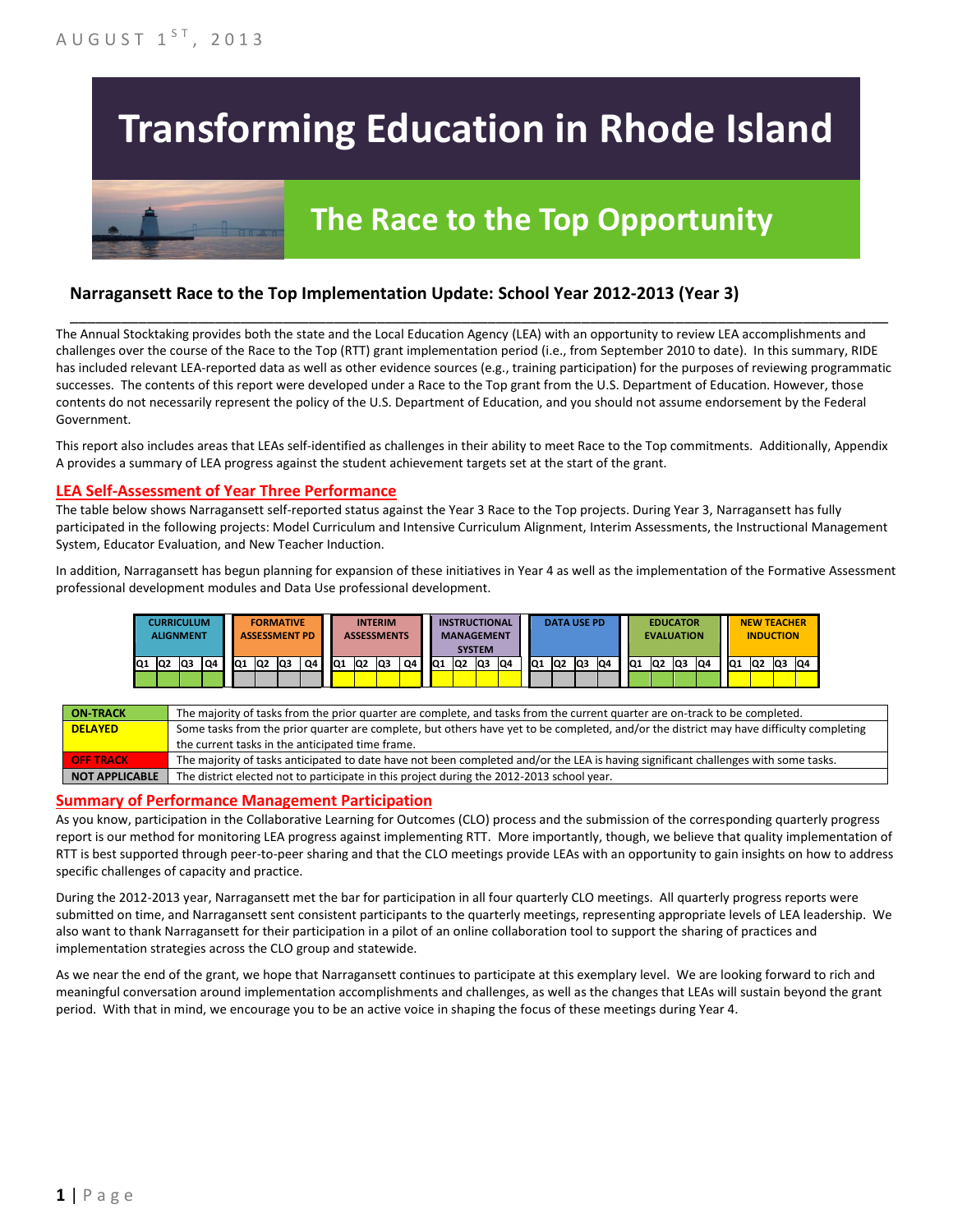# **Transforming Education in Rhode Island**

## **The Race to the Top Opportunity**

### **Narragansett Race to the Top Implementation Update: School Year 2012-2013 (Year 3)**

The Annual Stocktaking provides both the state and the Local Education Agency (LEA) with an opportunity to review LEA accomplishments and challenges over the course of the Race to the Top (RTT) grant implementation period (i.e., from September 2010 to date). In this summary, RIDE has included relevant LEA-reported data as well as other evidence sources (e.g., training participation) for the purposes of reviewing programmatic successes. The contents of this report were developed under a Race to the Top grant from the U.S. Department of Education. However, those contents do not necessarily represent the policy of the U.S. Department of Education, and you should not assume endorsement by the Federal Government.

\_\_\_\_\_\_\_\_\_\_\_\_\_\_\_\_\_\_\_\_\_\_\_\_\_\_\_\_\_\_\_\_\_\_\_\_\_\_\_\_\_\_\_\_\_\_\_\_\_\_\_\_\_\_\_\_\_\_\_\_\_\_\_\_\_\_\_\_\_\_\_\_\_\_\_\_\_\_\_\_\_\_\_\_\_\_\_\_\_\_\_\_\_\_\_\_

This report also includes areas that LEAs self-identified as challenges in their ability to meet Race to the Top commitments. Additionally, Appendix A provides a summary of LEA progress against the student achievement targets set at the start of the grant.

#### **LEA Self-Assessment of Year Three Performance**

The table below shows Narragansett self-reported status against the Year 3 Race to the Top projects. During Year 3, Narragansett has fully participated in the following projects: Model Curriculum and Intensive Curriculum Alignment, Interim Assessments, the Instructional Management System, Educator Evaluation, and New Teacher Induction.

In addition, Narragansett has begun planning for expansion of these initiatives in Year 4 as well as the implementation of the Formative Assessment professional development modules and Data Use professional development.



| <b>ON-TRACK</b>  | The majority of tasks from the prior quarter are complete, and tasks from the current quarter are on-track to be completed.             |
|------------------|-----------------------------------------------------------------------------------------------------------------------------------------|
| <b>DELAYED</b>   | Some tasks from the prior quarter are complete, but others have yet to be completed, and/or the district may have difficulty completing |
|                  | the current tasks in the anticipated time frame.                                                                                        |
| <b>OFF TRACK</b> | The majority of tasks anticipated to date have not been completed and/or the LEA is having significant challenges with some tasks.      |
| NOT APPLICABLE   | The district elected not to participate in this project during the 2012-2013 school year.                                               |

#### **Summary of Performance Management Participation**

As you know, participation in the Collaborative Learning for Outcomes (CLO) process and the submission of the corresponding quarterly progress report is our method for monitoring LEA progress against implementing RTT. More importantly, though, we believe that quality implementation of RTT is best supported through peer-to-peer sharing and that the CLO meetings provide LEAs with an opportunity to gain insights on how to address specific challenges of capacity and practice.

During the 2012-2013 year, Narragansett met the bar for participation in all four quarterly CLO meetings. All quarterly progress reports were submitted on time, and Narragansett sent consistent participants to the quarterly meetings, representing appropriate levels of LEA leadership. We also want to thank Narragansett for their participation in a pilot of an online collaboration tool to support the sharing of practices and implementation strategies across the CLO group and statewide.

As we near the end of the grant, we hope that Narragansett continues to participate at this exemplary level. We are looking forward to rich and meaningful conversation around implementation accomplishments and challenges, as well as the changes that LEAs will sustain beyond the grant period. With that in mind, we encourage you to be an active voice in shaping the focus of these meetings during Year 4.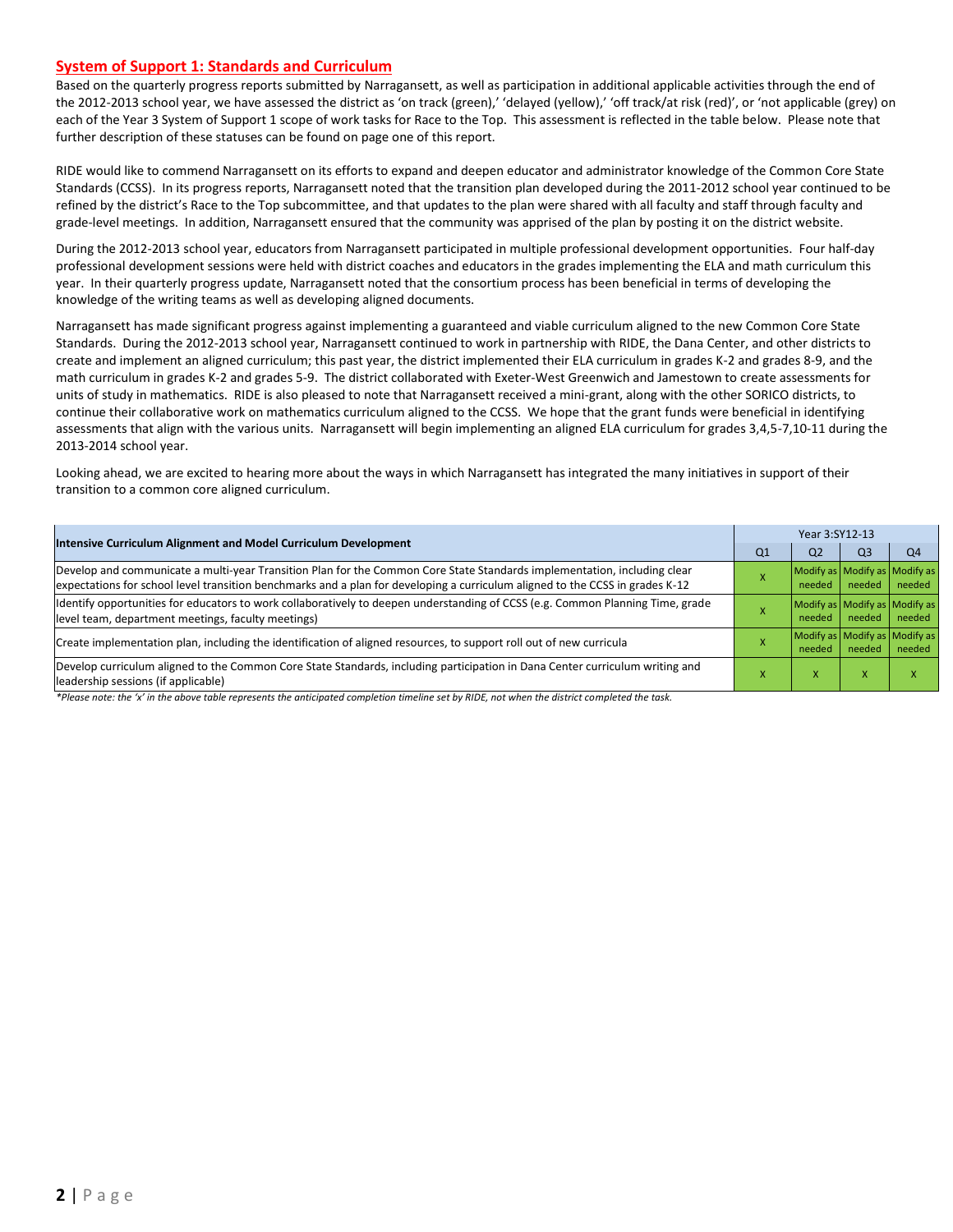#### **System of Support 1: Standards and Curriculum**

Based on the quarterly progress reports submitted by Narragansett, as well as participation in additional applicable activities through the end of the 2012-2013 school year, we have assessed the district as 'on track (green),' 'delayed (yellow),' 'off track/at risk (red)', or 'not applicable (grey) on each of the Year 3 System of Support 1 scope of work tasks for Race to the Top. This assessment is reflected in the table below. Please note that further description of these statuses can be found on page one of this report.

RIDE would like to commend Narragansett on its efforts to expand and deepen educator and administrator knowledge of the Common Core State Standards (CCSS). In its progress reports, Narragansett noted that the transition plan developed during the 2011-2012 school year continued to be refined by the district's Race to the Top subcommittee, and that updates to the plan were shared with all faculty and staff through faculty and grade-level meetings. In addition, Narragansett ensured that the community was apprised of the plan by posting it on the district website.

During the 2012-2013 school year, educators from Narragansett participated in multiple professional development opportunities. Four half-day professional development sessions were held with district coaches and educators in the grades implementing the ELA and math curriculum this year. In their quarterly progress update, Narragansett noted that the consortium process has been beneficial in terms of developing the knowledge of the writing teams as well as developing aligned documents.

Narragansett has made significant progress against implementing a guaranteed and viable curriculum aligned to the new Common Core State Standards. During the 2012-2013 school year, Narragansett continued to work in partnership with RIDE, the Dana Center, and other districts to create and implement an aligned curriculum; this past year, the district implemented their ELA curriculum in grades K-2 and grades 8-9, and the math curriculum in grades K-2 and grades 5-9. The district collaborated with Exeter-West Greenwich and Jamestown to create assessments for units of study in mathematics. RIDE is also pleased to note that Narragansett received a mini-grant, along with the other SORICO districts, to continue their collaborative work on mathematics curriculum aligned to the CCSS. We hope that the grant funds were beneficial in identifying assessments that align with the various units. Narragansett will begin implementing an aligned ELA curriculum for grades 3,4,5-7,10-11 during the 2013-2014 school year.

Looking ahead, we are excited to hearing more about the ways in which Narragansett has integrated the many initiatives in support of their transition to a common core aligned curriculum.

| Intensive Curriculum Alignment and Model Curriculum Development                                                                                                                                                                                           |  | Year 3:SY12-13                          |                |                |  |
|-----------------------------------------------------------------------------------------------------------------------------------------------------------------------------------------------------------------------------------------------------------|--|-----------------------------------------|----------------|----------------|--|
|                                                                                                                                                                                                                                                           |  | Q <sub>2</sub>                          | Q <sub>3</sub> | Q <sub>4</sub> |  |
| Develop and communicate a multi-year Transition Plan for the Common Core State Standards implementation, including clear<br>expectations for school level transition benchmarks and a plan for developing a curriculum aligned to the CCSS in grades K-12 |  | Modify as Modify as Modify as<br>needed | needed         | needed         |  |
| Identify opportunities for educators to work collaboratively to deepen understanding of CCSS (e.g. Common Planning Time, grade<br>level team, department meetings, faculty meetings)                                                                      |  | Modify as Modify as Modify as<br>needed | needed         | needed         |  |
| Create implementation plan, including the identification of aligned resources, to support roll out of new curricula                                                                                                                                       |  | Modify as Modify as Modify as<br>needed | needed         | needed         |  |
| Develop curriculum aligned to the Common Core State Standards, including participation in Dana Center curriculum writing and<br>leadership sessions (if applicable)                                                                                       |  | x                                       | x              |                |  |

*\*Please note: the 'x' in the above table represents the anticipated completion timeline set by RIDE, not when the district completed the task.*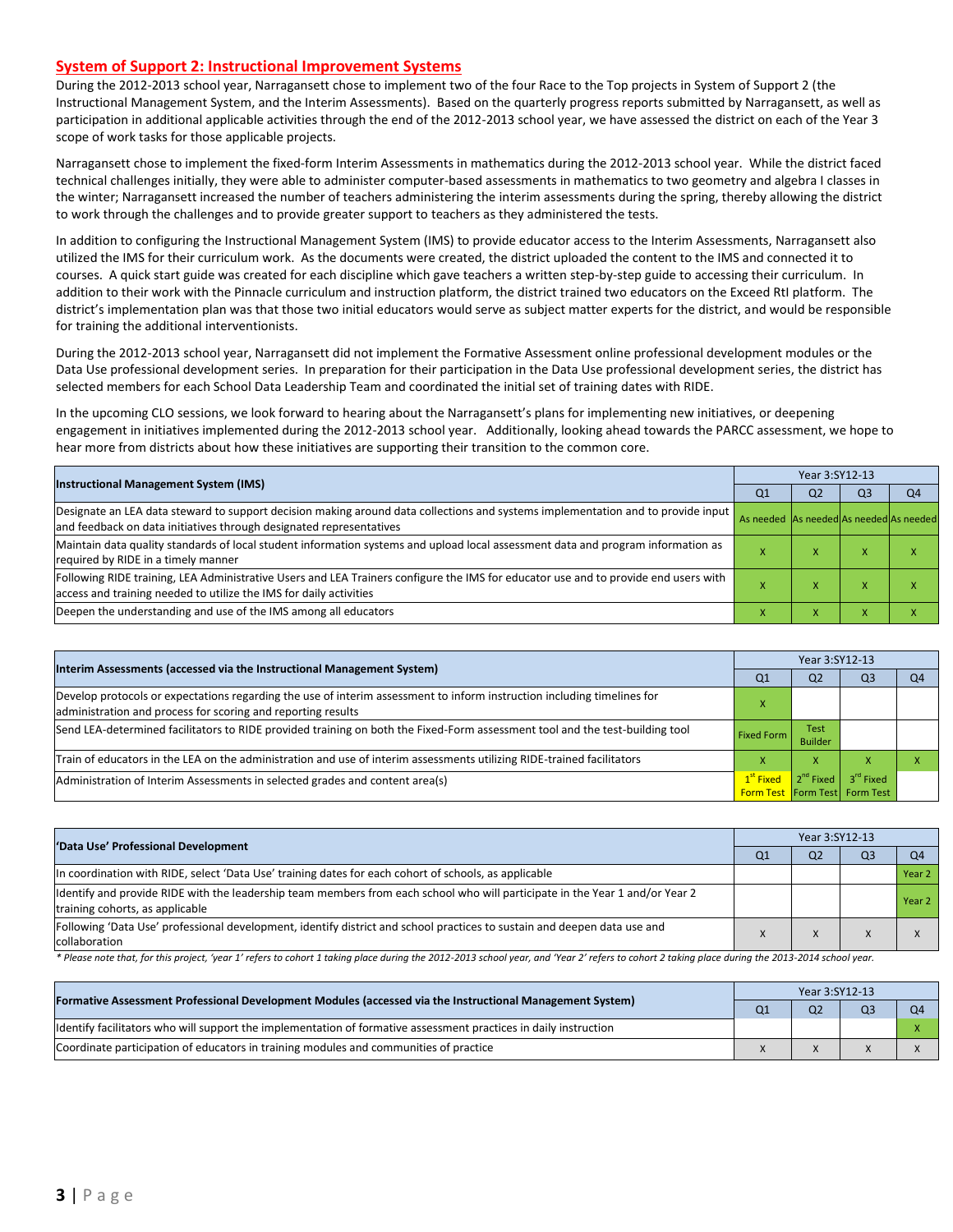#### **System of Support 2: Instructional Improvement Systems**

During the 2012-2013 school year, Narragansett chose to implement two of the four Race to the Top projects in System of Support 2 (the Instructional Management System, and the Interim Assessments). Based on the quarterly progress reports submitted by Narragansett, as well as participation in additional applicable activities through the end of the 2012-2013 school year, we have assessed the district on each of the Year 3 scope of work tasks for those applicable projects.

Narragansett chose to implement the fixed-form Interim Assessments in mathematics during the 2012-2013 school year. While the district faced technical challenges initially, they were able to administer computer-based assessments in mathematics to two geometry and algebra I classes in the winter; Narragansett increased the number of teachers administering the interim assessments during the spring, thereby allowing the district to work through the challenges and to provide greater support to teachers as they administered the tests.

In addition to configuring the Instructional Management System (IMS) to provide educator access to the Interim Assessments, Narragansett also utilized the IMS for their curriculum work. As the documents were created, the district uploaded the content to the IMS and connected it to courses. A quick start guide was created for each discipline which gave teachers a written step-by-step guide to accessing their curriculum. In addition to their work with the Pinnacle curriculum and instruction platform, the district trained two educators on the Exceed RtI platform. The district's implementation plan was that those two initial educators would serve as subject matter experts for the district, and would be responsible for training the additional interventionists.

During the 2012-2013 school year, Narragansett did not implement the Formative Assessment online professional development modules or the Data Use professional development series. In preparation for their participation in the Data Use professional development series, the district has selected members for each School Data Leadership Team and coordinated the initial set of training dates with RIDE.

In the upcoming CLO sessions, we look forward to hearing about the Narragansett's plans for implementing new initiatives, or deepening engagement in initiatives implemented during the 2012-2013 school year. Additionally, looking ahead towards the PARCC assessment, we hope to hear more from districts about how these initiatives are supporting their transition to the common core.

| <b>Instructional Management System (IMS)</b>                                                                                                                                                              |                                         | Year 3:SY12-13 |                |                |  |  |
|-----------------------------------------------------------------------------------------------------------------------------------------------------------------------------------------------------------|-----------------------------------------|----------------|----------------|----------------|--|--|
|                                                                                                                                                                                                           |                                         | Q <sub>2</sub> | Q <sub>3</sub> | Q <sub>4</sub> |  |  |
| Designate an LEA data steward to support decision making around data collections and systems implementation and to provide input<br>and feedback on data initiatives through designated representatives   | As needed As needed As needed As needed |                |                |                |  |  |
| Maintain data quality standards of local student information systems and upload local assessment data and program information as<br>required by RIDE in a timely manner                                   |                                         | $\lambda$      |                |                |  |  |
| Following RIDE training, LEA Administrative Users and LEA Trainers configure the IMS for educator use and to provide end users with<br>access and training needed to utilize the IMS for daily activities |                                         | x              |                |                |  |  |
| Deepen the understanding and use of the IMS among all educators                                                                                                                                           |                                         |                |                |                |  |  |

| Interim Assessments (accessed via the Instructional Management System)                                                                                                                  |                       | Year 3:SY12-13                |                                                               |                |  |  |
|-----------------------------------------------------------------------------------------------------------------------------------------------------------------------------------------|-----------------------|-------------------------------|---------------------------------------------------------------|----------------|--|--|
|                                                                                                                                                                                         |                       | Q <sub>2</sub>                | OЗ                                                            | Q <sub>4</sub> |  |  |
| Develop protocols or expectations regarding the use of interim assessment to inform instruction including timelines for<br>administration and process for scoring and reporting results |                       |                               |                                                               |                |  |  |
| Send LEA-determined facilitators to RIDE provided training on both the Fixed-Form assessment tool and the test-building tool                                                            | <b>Fixed Form</b>     | <b>Test</b><br><b>Builder</b> |                                                               |                |  |  |
| Train of educators in the LEA on the administration and use of interim assessments utilizing RIDE-trained facilitators                                                                  |                       | X                             |                                                               |                |  |  |
| Administration of Interim Assessments in selected grades and content area(s)                                                                                                            | 1 <sup>st</sup> Fixed | $2^{nd}$ Fixed                | 3 <sup>rd</sup> Fixed<br><b>Form Test Form Test Form Test</b> |                |  |  |

| 'Data Use' Professional Development                                                                                                                             |  | Year 3:SY12-13 |    |        |  |
|-----------------------------------------------------------------------------------------------------------------------------------------------------------------|--|----------------|----|--------|--|
|                                                                                                                                                                 |  | Q <sub>2</sub> | Q3 |        |  |
| In coordination with RIDE, select 'Data Use' training dates for each cohort of schools, as applicable                                                           |  |                |    | Year 2 |  |
| ldentify and provide RIDE with the leadership team members from each school who will participate in the Year 1 and/or Year 2<br>training cohorts, as applicable |  |                |    | Year 2 |  |
| Following 'Data Use' professional development, identify district and school practices to sustain and deepen data use and<br>collaboration                       |  |                |    |        |  |

\* Please note that, for this project, 'year 1' refers to cohort 1 taking place during the 2012-2013 school year, and 'Year 2' refers to cohort 2 taking place during the 2013-2014 school year.

| [Formative Assessment Professional Development Modules (accessed via the Instructional Management System)         | Year 3:SY12-13 |                |  |  |
|-------------------------------------------------------------------------------------------------------------------|----------------|----------------|--|--|
|                                                                                                                   | Q <sub>1</sub> | Q <sub>2</sub> |  |  |
| Ildentify facilitators who will support the implementation of formative assessment practices in daily instruction |                |                |  |  |
| Coordinate participation of educators in training modules and communities of practice                             |                |                |  |  |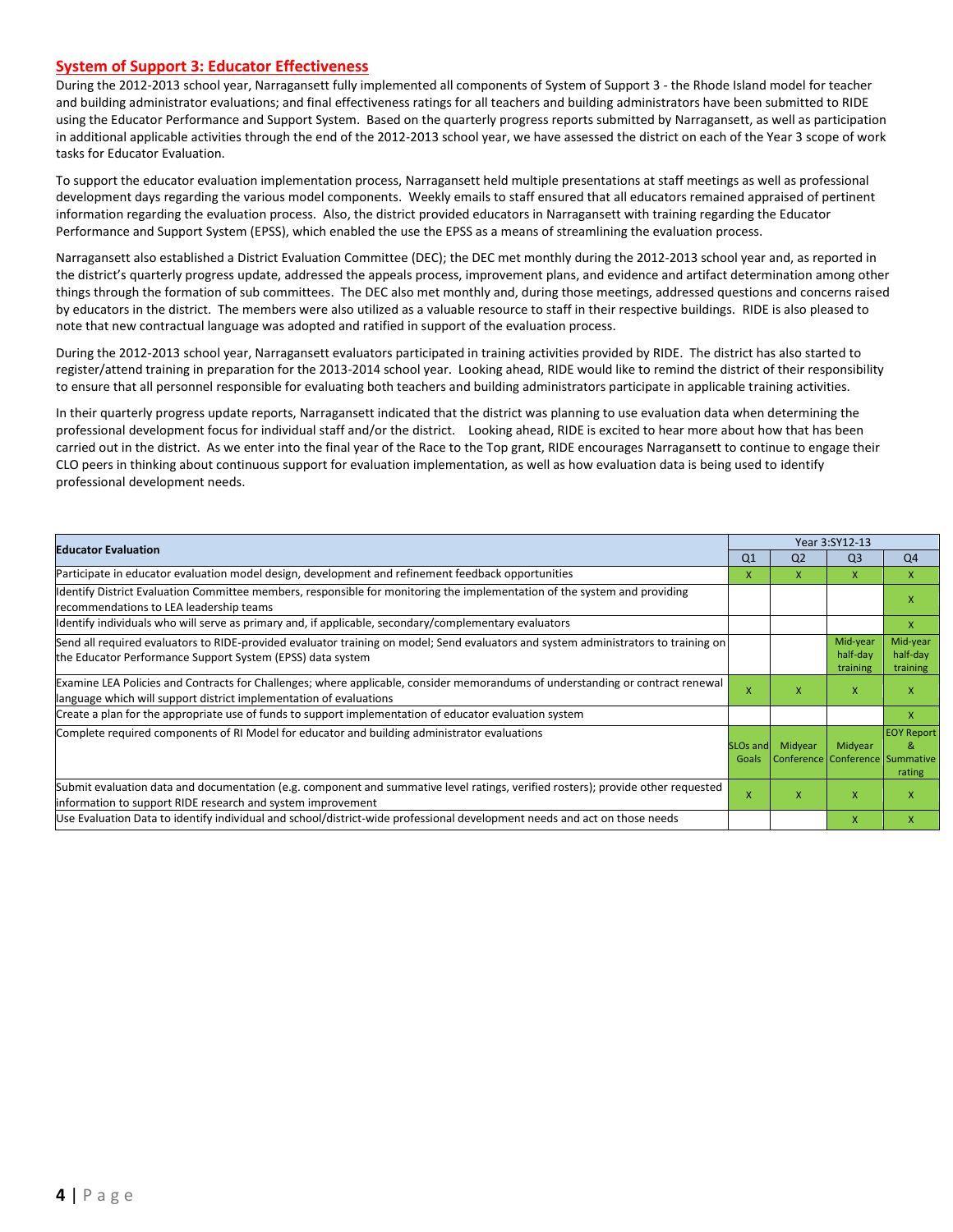#### **System of Support 3: Educator Effectiveness**

During the 2012-2013 school year, Narragansett fully implemented all components of System of Support 3 - the Rhode Island model for teacher and building administrator evaluations; and final effectiveness ratings for all teachers and building administrators have been submitted to RIDE using the Educator Performance and Support System. Based on the quarterly progress reports submitted by Narragansett, as well as participation in additional applicable activities through the end of the 2012-2013 school year, we have assessed the district on each of the Year 3 scope of work tasks for Educator Evaluation.

To support the educator evaluation implementation process, Narragansett held multiple presentations at staff meetings as well as professional development days regarding the various model components. Weekly emails to staff ensured that all educators remained appraised of pertinent information regarding the evaluation process. Also, the district provided educators in Narragansett with training regarding the Educator Performance and Support System (EPSS), which enabled the use the EPSS as a means of streamlining the evaluation process.

Narragansett also established a District Evaluation Committee (DEC); the DEC met monthly during the 2012-2013 school year and, as reported in the district's quarterly progress update, addressed the appeals process, improvement plans, and evidence and artifact determination among other things through the formation of sub committees. The DEC also met monthly and, during those meetings, addressed questions and concerns raised by educators in the district. The members were also utilized as a valuable resource to staff in their respective buildings. RIDE is also pleased to note that new contractual language was adopted and ratified in support of the evaluation process.

During the 2012-2013 school year, Narragansett evaluators participated in training activities provided by RIDE. The district has also started to register/attend training in preparation for the 2013-2014 school year. Looking ahead, RIDE would like to remind the district of their responsibility to ensure that all personnel responsible for evaluating both teachers and building administrators participate in applicable training activities.

In their quarterly progress update reports, Narragansett indicated that the district was planning to use evaluation data when determining the professional development focus for individual staff and/or the district. Looking ahead, RIDE is excited to hear more about how that has been carried out in the district. As we enter into the final year of the Race to the Top grant, RIDE encourages Narragansett to continue to engage their CLO peers in thinking about continuous support for evaluation implementation, as well as how evaluation data is being used to identify professional development needs.

| <b>Educator Evaluation</b>                                                                                                                                                                           |                          | Year 3:SY12-13 |                                            |                                  |  |
|------------------------------------------------------------------------------------------------------------------------------------------------------------------------------------------------------|--------------------------|----------------|--------------------------------------------|----------------------------------|--|
|                                                                                                                                                                                                      |                          | Q <sub>2</sub> | Q <sub>3</sub>                             | Q4                               |  |
| Participate in educator evaluation model design, development and refinement feedback opportunities                                                                                                   | x                        | x              | X                                          | X                                |  |
| Identify District Evaluation Committee members, responsible for monitoring the implementation of the system and providing<br>recommendations to LEA leadership teams                                 |                          |                |                                            | X                                |  |
| ldentify individuals who will serve as primary and, if applicable, secondary/complementary evaluators                                                                                                |                          |                |                                            | X                                |  |
| Send all required evaluators to RIDE-provided evaluator training on model; Send evaluators and system administrators to training on<br>the Educator Performance Support System (EPSS) data system    |                          |                | Mid-year<br>half-day<br>training           | Mid-year<br>half-day<br>training |  |
| Examine LEA Policies and Contracts for Challenges; where applicable, consider memorandums of understanding or contract renewal<br>language which will support district implementation of evaluations | X                        | x              | $\mathsf{x}$                               | X                                |  |
| Create a plan for the appropriate use of funds to support implementation of educator evaluation system                                                                                               |                          |                |                                            | X                                |  |
| Complete required components of RI Model for educator and building administrator evaluations                                                                                                         | <b>SLOs and</b><br>Goals | Midyear        | Midyear<br>Conference Conference Summative | <b>EOY Report</b><br>8<br>rating |  |
| Submit evaluation data and documentation (e.g. component and summative level ratings, verified rosters); provide other requested<br>information to support RIDE research and system improvement      |                          | x              | X                                          | X                                |  |
| Use Evaluation Data to identify individual and school/district-wide professional development needs and act on those needs                                                                            |                          |                | $\mathsf{x}$                               | x                                |  |